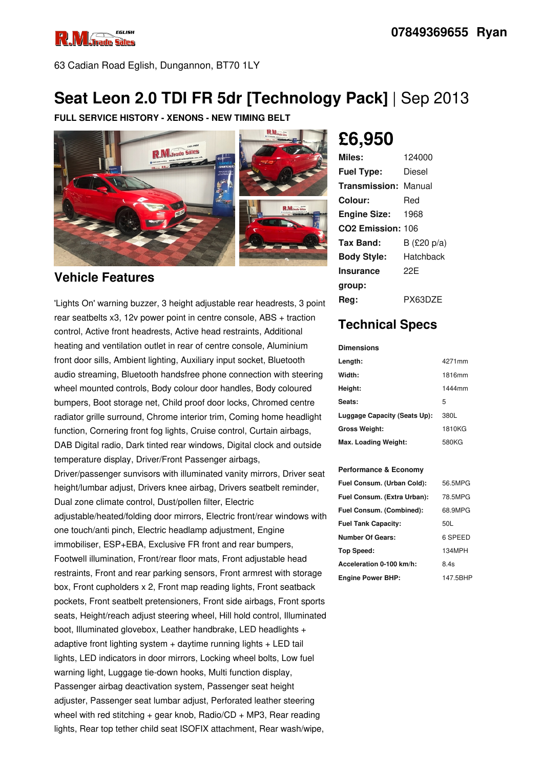

63 Cadian Road Eglish, Dungannon, BT70 1LY

## **Seat Leon 2.0 TDI FR 5dr [Technology Pack]** | Sep 2013

**FULL SERVICE HISTORY - XENONS - NEW TIMING BELT**



#### **Vehicle Features**

'Lights On' warning buzzer, 3 height adjustable rear headrests, 3 point rear seatbelts x3, 12v power point in centre console, ABS + traction control, Active front headrests, Active head restraints, Additional heating and ventilation outlet in rear of centre console, Aluminium front door sills, Ambient lighting, Auxiliary input socket, Bluetooth audio streaming, Bluetooth handsfree phone connection with steering wheel mounted controls, Body colour door handles, Body coloured bumpers, Boot storage net, Child proof door locks, Chromed centre radiator grille surround, Chrome interior trim, Coming home headlight function, Cornering front fog lights, Cruise control, Curtain airbags, DAB Digital radio, Dark tinted rear windows, Digital clock and outside temperature display, Driver/Front Passenger airbags,

Driver/passenger sunvisors with illuminated vanity mirrors, Driver seat height/lumbar adjust, Drivers knee airbag, Drivers seatbelt reminder, Dual zone climate control, Dust/pollen filter, Electric adjustable/heated/folding door mirrors, Electric front/rear windows with one touch/anti pinch, Electric headlamp adjustment, Engine immobiliser, ESP+EBA, Exclusive FR front and rear bumpers, Footwell illumination, Front/rear floor mats, Front adjustable head restraints, Front and rear parking sensors, Front armrest with storage box, Front cupholders x 2, Front map reading lights, Front seatback pockets, Front seatbelt pretensioners, Front side airbags, Front sports seats, Height/reach adjust steering wheel, Hill hold control, Illuminated boot, Illuminated glovebox, Leather handbrake, LED headlights + adaptive front lighting system  $+$  daytime running lights  $+$  LED tail lights, LED indicators in door mirrors, Locking wheel bolts, Low fuel warning light, Luggage tie-down hooks, Multi function display, Passenger airbag deactivation system, Passenger seat height adjuster, Passenger seat lumbar adjust, Perforated leather steering wheel with red stitching  $+$  gear knob, Radio/CD  $+$  MP3, Rear reading lights, Rear top tether child seat ISOFIX attachment, Rear wash/wipe,

# **£6,950**

| Miles:                        | 124000      |
|-------------------------------|-------------|
| <b>Fuel Type:</b>             | Diesel      |
| <b>Transmission: Manual</b>   |             |
| Colour:                       | Red         |
| <b>Engine Size:</b>           | 1968        |
| CO <sub>2</sub> Emission: 106 |             |
| Tax Band:                     | B (£20 p/a) |
| <b>Body Style:</b>            | Hatchback   |
| <b>Insurance</b>              | 22F         |
| group:                        |             |
| Reg:                          | PX63DZE     |

## **Technical Specs**

**Dimensions**

| Length:                      | 4271mm |
|------------------------------|--------|
| Width:                       | 1816mm |
| Height:                      | 1444mm |
| Seats:                       | 5      |
| Luggage Capacity (Seats Up): | 380L   |
| <b>Gross Weight:</b>         | 1810KG |
| Max. Loading Weight:         | 580KG  |

#### **Performance & Economy**

| Fuel Consum. (Urban Cold):  | 56.5MPG  |
|-----------------------------|----------|
| Fuel Consum. (Extra Urban): | 78.5MPG  |
| Fuel Consum. (Combined):    | 68.9MPG  |
| <b>Fuel Tank Capacity:</b>  | 50L      |
| <b>Number Of Gears:</b>     | 6 SPEED  |
| Top Speed:                  | 134MPH   |
| Acceleration 0-100 km/h:    | 8.4s     |
| <b>Engine Power BHP:</b>    | 147.5BHP |